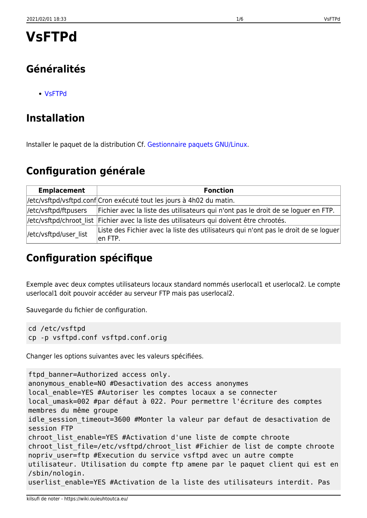# **Généralités**

[VsFTPd](http://fr.wikipedia.org/wiki/Vsftpd)

## **Installation**

Installer le paquet de la distribution Cf. [Gestionnaire paquets GNU/Linux](https://wiki.ouieuhtoutca.eu/gestionnaire_paquets_gnu_linux).

## **Configuration générale**

| <b>Emplacement</b>     | <b>Fonction</b>                                                                                  |
|------------------------|--------------------------------------------------------------------------------------------------|
|                        | //etc/vsftpd/vsftpd.conf Cron exécuté tout les jours à 4h02 du matin.                            |
| //etc/vsftpd/ftpusers  | Fichier avec la liste des utilisateurs qui n'ont pas le droit de se loguer en FTP.               |
|                        | //etc/vsftpd/chroot list  Fichier avec la liste des utilisateurs qui doivent être chrootés.      |
| //etc/vsftpd/user list | Liste des Fichier avec la liste des utilisateurs qui n'ont pas le droit de se loguer<br>len FTP. |

# **Configuration spécifique**

Exemple avec deux comptes utilisateurs locaux standard nommés userlocal1 et userlocal2. Le compte userlocal1 doit pouvoir accéder au serveur FTP mais pas userlocal2.

Sauvegarde du fichier de configuration.

```
cd /etc/vsftpd
cp -p vsftpd.conf vsftpd.conf.orig
```
Changer les options suivantes avec les valeurs spécifiées.

```
ftpd banner=Authorized access only.
anonymous enable=NO #Desactivation des access anonymes
local_enable=YES #Autoriser les comptes locaux a se connecter
local_umask=002 #par défaut à 022. Pour permettre l'écriture des comptes
membres du même groupe
idle_session_timeout=3600 #Monter la valeur par defaut de desactivation de
session FTP
chroot list enable=YES #Activation d'une liste de compte chroote
chroot_list_file=/etc/vsftpd/chroot_list #Fichier de list de compte chroote
nopriv user=ftp #Execution du service vsftpd avec un autre compte
utilisateur. Utilisation du compte ftp amene par le paquet client qui est en
/sbin/nologin.
userlist enable=YES #Activation de la liste des utilisateurs interdit. Pas
```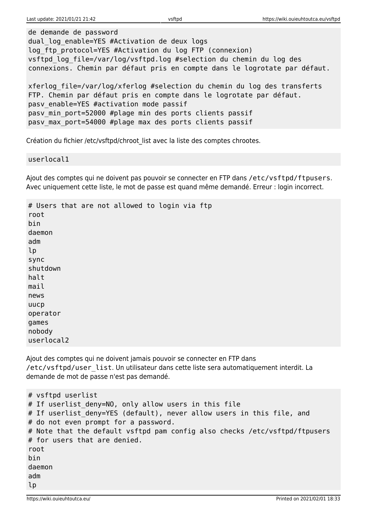de demande de password

dual log enable=YES #Activation de deux logs log ftp protocol=YES #Activation du log FTP (connexion) vsftpd log file=/var/log/vsftpd.log #selection du chemin du log des connexions. Chemin par défaut pris en compte dans le logrotate par défaut.

xferlog\_file=/var/log/xferlog #selection du chemin du log des transferts FTP. Chemin par défaut pris en compte dans le logrotate par défaut. pasv enable=YES #activation mode passif pasv min port=52000 #plage min des ports clients passif pasv max port=54000 #plage max des ports clients passif

Création du fichier /etc/vsftpd/chroot list avec la liste des comptes chrootes.

userlocal1

Ajout des comptes qui ne doivent pas pouvoir se connecter en FTP dans /etc/vsftpd/ftpusers. Avec uniquement cette liste, le mot de passe est quand même demandé. Erreur : login incorrect.

# Users that are not allowed to login via ftp root bin daemon adm lp sync shutdown halt mail news uucp operator games nobody userlocal2

Ajout des comptes qui ne doivent jamais pouvoir se connecter en FTP dans /etc/vsftpd/user\_list. Un utilisateur dans cette liste sera automatiquement interdit. La demande de mot de passe n'est pas demandé.

```
# vsftpd userlist
# If userlist deny=NO, only allow users in this file
# If userlist deny=YES (default), never allow users in this file, and
# do not even prompt for a password.
# Note that the default vsftpd pam config also checks /etc/vsftpd/ftpusers
# for users that are denied.
root
bin
daemon
adm
lp
```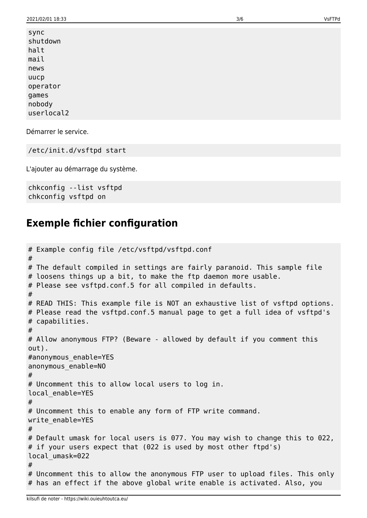sync shutdown halt mail news uucp operator games nobody userlocal2

Démarrer le service.

/etc/init.d/vsftpd start

L'ajouter au démarrage du système.

chkconfig --list vsftpd chkconfig vsftpd on

#### **Exemple fichier configuration**

```
# Example config file /etc/vsftpd/vsftpd.conf
#
# The default compiled in settings are fairly paranoid. This sample file
# loosens things up a bit, to make the ftp daemon more usable.
# Please see vsftpd.conf.5 for all compiled in defaults.
#
# READ THIS: This example file is NOT an exhaustive list of vsftpd options.
# Please read the vsftpd.conf.5 manual page to get a full idea of vsftpd's
# capabilities.
#
# Allow anonymous FTP? (Beware - allowed by default if you comment this
out).
#anonymous_enable=YES
anonymous_enable=NO
#
# Uncomment this to allow local users to log in.
local_enable=YES
#
# Uncomment this to enable any form of FTP write command.
write enable=YES
#
# Default umask for local users is 077. You may wish to change this to 022,
# if your users expect that (022 is used by most other ftpd's)
local_umask=022
#
# Uncomment this to allow the anonymous FTP user to upload files. This only
# has an effect if the above global write enable is activated. Also, you
```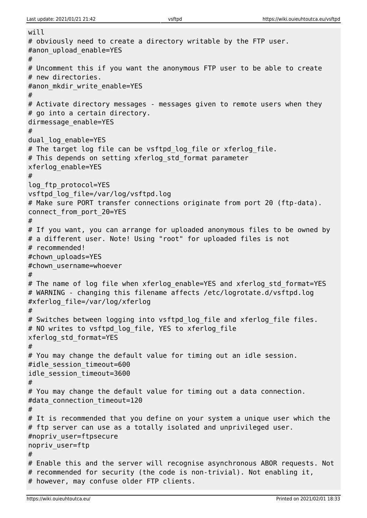```
will
# obviously need to create a directory writable by the FTP user.
#anon upload enable=YES
#
# Uncomment this if you want the anonymous FTP user to be able to create
# new directories.
#anon mkdir write enable=YES
#
# Activate directory messages - messages given to remote users when they
# go into a certain directory.
dirmessage_enable=YES
#
dual_log_enable=YES
# The target log file can be vsftpd_log_file or xferlog_file.
# This depends on setting xferlog std format parameter
xferlog_enable=YES
#
log_ftp_protocol=YES
vsftpd_log_file=/var/log/vsftpd.log
# Make sure PORT transfer connections originate from port 20 (ftp-data).
connect_from_port_20=YES
#
# If you want, you can arrange for uploaded anonymous files to be owned by
# a different user. Note! Using "root" for uploaded files is not
# recommended!
#chown_uploads=YES
#chown_username=whoever
#
# The name of log file when xferlog enable=YES and xferlog std format=YES
# WARNING - changing this filename affects /etc/logrotate.d/vsftpd.log
#xferlog_file=/var/log/xferlog
#
# Switches between logging into vsftpd log file and xferlog file files.
# NO writes to vsftpd_log_file, YES to xferlog_file
xferlog_std_format=YES
#
# You may change the default value for timing out an idle session.
#idle session timeout=600
idle_session_timeout=3600
#
# You may change the default value for timing out a data connection.
#data connection timeout=120
H# It is recommended that you define on your system a unique user which the
# ftp server can use as a totally isolated and unprivileged user.
#nopriv_user=ftpsecure
nopriv_user=ftp
#
# Enable this and the server will recognise asynchronous ABOR requests. Not
# recommended for security (the code is non-trivial). Not enabling it,
# however, may confuse older FTP clients.
```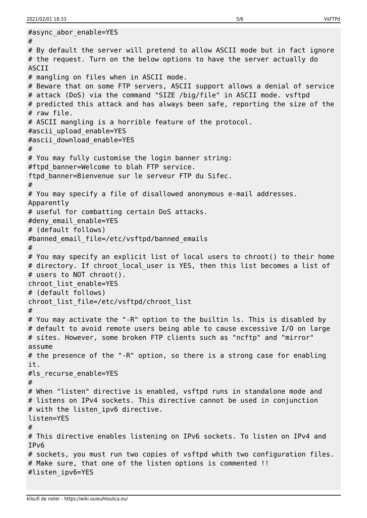```
#async_abor_enable=YES
#
# By default the server will pretend to allow ASCII mode but in fact ignore
# the request. Turn on the below options to have the server actually do
ASCII
# mangling on files when in ASCII mode.
# Beware that on some FTP servers, ASCII support allows a denial of service
# attack (DoS) via the command "SIZE /big/file" in ASCII mode. vsftpd
# predicted this attack and has always been safe, reporting the size of the
# raw file.
# ASCII mangling is a horrible feature of the protocol.
#ascii_upload_enable=YES
#ascii download enable=YES
#
# You may fully customise the login banner string:
#ftpd banner=Welcome to blah FTP service.
ftpd banner=Bienvenue sur le serveur FTP du Sifec.
#
# You may specify a file of disallowed anonymous e-mail addresses.
Apparently
# useful for combatting certain DoS attacks.
#deny email enable=YES
# (default follows)
#banned email file=/etc/vsftpd/banned emails
#
# You may specify an explicit list of local users to chroot() to their home
# directory. If chroot local user is YES, then this list becomes a list of
# users to NOT chroot().
chroot_list_enable=YES
# (default follows)
chroot list file=/etc/vsftpd/chroot list
#
# You may activate the "-R" option to the builtin ls. This is disabled by
# default to avoid remote users being able to cause excessive I/O on large
# sites. However, some broken FTP clients such as "ncftp" and "mirror"
assume
# the presence of the "-R" option, so there is a strong case for enabling
it.
#ls recurse enable=YES
#
# When "listen" directive is enabled, vsftpd runs in standalone mode and
# listens on IPv4 sockets. This directive cannot be used in conjunction
# with the listen ipv6 directive.
listen=YES
#
# This directive enables listening on IPv6 sockets. To listen on IPv4 and
IPv6
# sockets, you must run two copies of vsftpd whith two configuration files.
# Make sure, that one of the listen options is commented !!
#listen_ipv6=YES
```